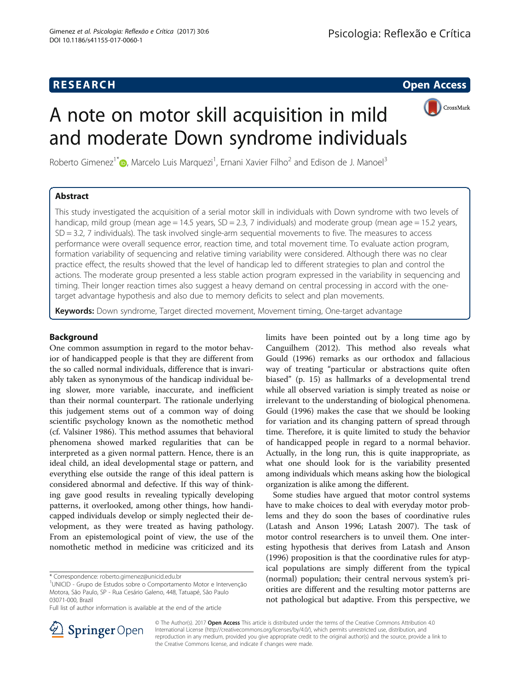# **RESEARCH CHE Open Access**



# A note on motor skill acquisition in mild and moderate Down syndrome individuals

Roberto Gimenez<sup>1\*</sup>®, Marcelo Luis Marquezi<sup>1</sup>, Ernani Xavier Filho<sup>2</sup> and Edison de J. Manoel<sup>3</sup>

# Abstract

This study investigated the acquisition of a serial motor skill in individuals with Down syndrome with two levels of handicap, mild group (mean age = 14.5 years,  $SD = 2.3$ , 7 individuals) and moderate group (mean age = 15.2 years, SD = 3.2, 7 individuals). The task involved single-arm sequential movements to five. The measures to access performance were overall sequence error, reaction time, and total movement time. To evaluate action program, formation variability of sequencing and relative timing variability were considered. Although there was no clear practice effect, the results showed that the level of handicap led to different strategies to plan and control the actions. The moderate group presented a less stable action program expressed in the variability in sequencing and timing. Their longer reaction times also suggest a heavy demand on central processing in accord with the onetarget advantage hypothesis and also due to memory deficits to select and plan movements.

Keywords: Down syndrome, Target directed movement, Movement timing, One-target advantage

# Background

One common assumption in regard to the motor behavior of handicapped people is that they are different from the so called normal individuals, difference that is invariably taken as synonymous of the handicap individual being slower, more variable, inaccurate, and inefficient than their normal counterpart. The rationale underlying this judgement stems out of a common way of doing scientific psychology known as the nomothetic method (cf. Valsiner [1986](#page-8-0)). This method assumes that behavioral phenomena showed marked regularities that can be interpreted as a given normal pattern. Hence, there is an ideal child, an ideal developmental stage or pattern, and everything else outside the range of this ideal pattern is considered abnormal and defective. If this way of thinking gave good results in revealing typically developing patterns, it overlooked, among other things, how handicapped individuals develop or simply neglected their development, as they were treated as having pathology. From an epistemological point of view, the use of the nomothetic method in medicine was criticized and its

limits have been pointed out by a long time ago by Canguilhem ([2012](#page-7-0)). This method also reveals what Gould ([1996](#page-7-0)) remarks as our orthodox and fallacious way of treating "particular or abstractions quite often biased" (p. 15) as hallmarks of a developmental trend while all observed variation is simply treated as noise or irrelevant to the understanding of biological phenomena. Gould ([1996\)](#page-7-0) makes the case that we should be looking for variation and its changing pattern of spread through time. Therefore, it is quite limited to study the behavior of handicapped people in regard to a normal behavior. Actually, in the long run, this is quite inappropriate, as what one should look for is the variability presented among individuals which means asking how the biological organization is alike among the different.

Some studies have argued that motor control systems have to make choices to deal with everyday motor problems and they do soon the bases of coordinative rules (Latash and Anson [1996](#page-7-0); Latash [2007\)](#page-7-0). The task of motor control researchers is to unveil them. One interesting hypothesis that derives from Latash and Anson ([1996\)](#page-7-0) proposition is that the coordinative rules for atypical populations are simply different from the typical (normal) population; their central nervous system's priorities are different and the resulting motor patterns are not pathological but adaptive. From this perspective, we



© The Author(s). 2017 Open Access This article is distributed under the terms of the Creative Commons Attribution 4.0 International License ([http://creativecommons.org/licenses/by/4.0/\)](http://creativecommons.org/licenses/by/4.0/), which permits unrestricted use, distribution, and reproduction in any medium, provided you give appropriate credit to the original author(s) and the source, provide a link to the Creative Commons license, and indicate if changes were made.

<sup>\*</sup> Correspondence: [roberto.gimenez@unicid.edu.br](mailto:roberto.gimenez@unicid.edu.br) <sup>1</sup>

UNICID - Grupo de Estudos sobre o Comportamento Motor e Intervenção Motora, São Paulo, SP - Rua Cesário Galeno, 448, Tatuapé, São Paulo 03071-000, Brazil

Full list of author information is available at the end of the article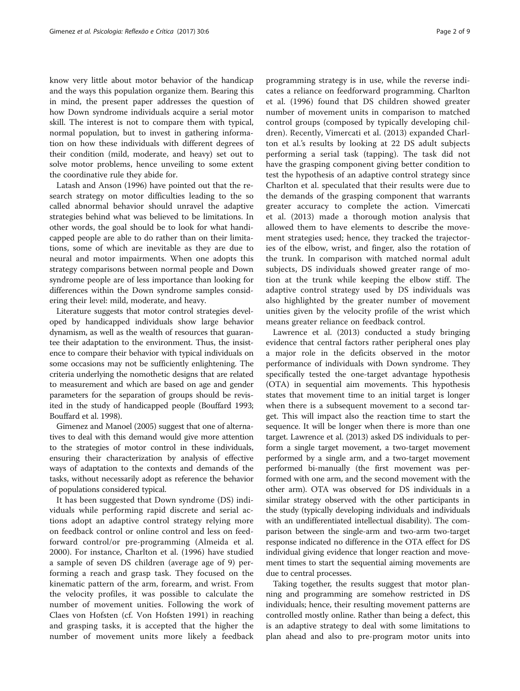know very little about motor behavior of the handicap and the ways this population organize them. Bearing this in mind, the present paper addresses the question of how Down syndrome individuals acquire a serial motor skill. The interest is not to compare them with typical, normal population, but to invest in gathering information on how these individuals with different degrees of their condition (mild, moderate, and heavy) set out to solve motor problems, hence unveiling to some extent the coordinative rule they abide for.

Latash and Anson ([1996](#page-7-0)) have pointed out that the research strategy on motor difficulties leading to the so called abnormal behavior should unravel the adaptive strategies behind what was believed to be limitations. In other words, the goal should be to look for what handicapped people are able to do rather than on their limitations, some of which are inevitable as they are due to neural and motor impairments. When one adopts this strategy comparisons between normal people and Down syndrome people are of less importance than looking for differences within the Down syndrome samples considering their level: mild, moderate, and heavy.

Literature suggests that motor control strategies developed by handicapped individuals show large behavior dynamism, as well as the wealth of resources that guarantee their adaptation to the environment. Thus, the insistence to compare their behavior with typical individuals on some occasions may not be sufficiently enlightening. The criteria underlying the nomothetic designs that are related to measurement and which are based on age and gender parameters for the separation of groups should be revisited in the study of handicapped people (Bouffard [1993](#page-7-0); Bouffard et al. [1998\)](#page-7-0).

Gimenez and Manoel ([2005](#page-7-0)) suggest that one of alternatives to deal with this demand would give more attention to the strategies of motor control in these individuals, ensuring their characterization by analysis of effective ways of adaptation to the contexts and demands of the tasks, without necessarily adopt as reference the behavior of populations considered typical.

It has been suggested that Down syndrome (DS) individuals while performing rapid discrete and serial actions adopt an adaptive control strategy relying more on feedback control or online control and less on feedforward control/or pre-programming (Almeida et al. [2000\)](#page-7-0). For instance, Charlton et al. [\(1996](#page-7-0)) have studied a sample of seven DS children (average age of 9) performing a reach and grasp task. They focused on the kinematic pattern of the arm, forearm, and wrist. From the velocity profiles, it was possible to calculate the number of movement unities. Following the work of Claes von Hofsten (cf. Von Hofsten [1991](#page-8-0)) in reaching and grasping tasks, it is accepted that the higher the number of movement units more likely a feedback programming strategy is in use, while the reverse indicates a reliance on feedforward programming. Charlton et al. ([1996\)](#page-7-0) found that DS children showed greater number of movement units in comparison to matched control groups (composed by typically developing children). Recently, Vimercati et al. ([2013\)](#page-8-0) expanded Charlton et al.'s results by looking at 22 DS adult subjects performing a serial task (tapping). The task did not have the grasping component giving better condition to test the hypothesis of an adaptive control strategy since Charlton et al. speculated that their results were due to the demands of the grasping component that warrants greater accuracy to complete the action. Vimercati et al. ([2013\)](#page-8-0) made a thorough motion analysis that allowed them to have elements to describe the movement strategies used; hence, they tracked the trajectories of the elbow, wrist, and finger, also the rotation of the trunk. In comparison with matched normal adult subjects, DS individuals showed greater range of motion at the trunk while keeping the elbow stiff. The adaptive control strategy used by DS individuals was also highlighted by the greater number of movement unities given by the velocity profile of the wrist which means greater reliance on feedback control.

Lawrence et al. [\(2013\)](#page-8-0) conducted a study bringing evidence that central factors rather peripheral ones play a major role in the deficits observed in the motor performance of individuals with Down syndrome. They specifically tested the one-target advantage hypothesis (OTA) in sequential aim movements. This hypothesis states that movement time to an initial target is longer when there is a subsequent movement to a second target. This will impact also the reaction time to start the sequence. It will be longer when there is more than one target. Lawrence et al. [\(2013\)](#page-8-0) asked DS individuals to perform a single target movement, a two-target movement performed by a single arm, and a two-target movement performed bi-manually (the first movement was performed with one arm, and the second movement with the other arm). OTA was observed for DS individuals in a similar strategy observed with the other participants in the study (typically developing individuals and individuals with an undifferentiated intellectual disability). The comparison between the single-arm and two-arm two-target response indicated no difference in the OTA effect for DS individual giving evidence that longer reaction and movement times to start the sequential aiming movements are due to central processes.

Taking together, the results suggest that motor planning and programming are somehow restricted in DS individuals; hence, their resulting movement patterns are controlled mostly online. Rather than being a defect, this is an adaptive strategy to deal with some limitations to plan ahead and also to pre-program motor units into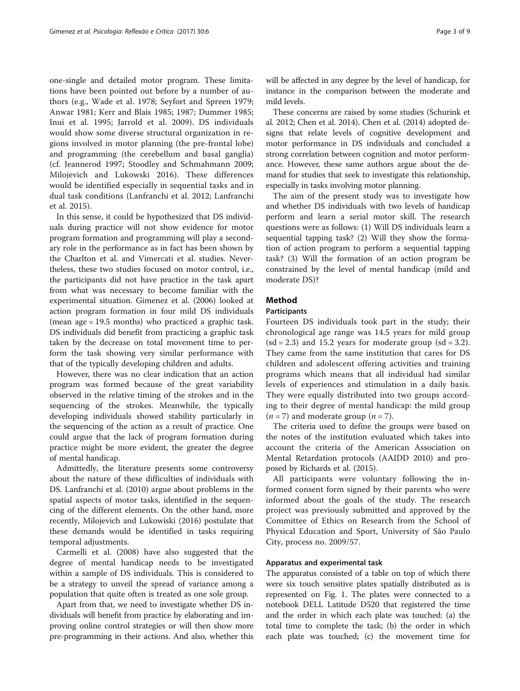one-single and detailed motor program. These limitations have been pointed out before by a number of authors (e.g., Wade et al. [1978;](#page-8-0) Seyfort and Spreen [1979](#page-8-0); Anwar [1981;](#page-7-0) Kerr and Blais [1985; 1987](#page-7-0); Dummer [1985](#page-7-0); Inui et al. [1995](#page-7-0); Jarrold et al. [2009\)](#page-7-0). DS individuals would show some diverse structural organization in regions involved in motor planning (the pre-frontal lobe) and programming (the cerebellum and basal ganglia) (cf. Jeannerod [1997](#page-7-0); Stoodley and Schmahmann [2009](#page-8-0); Milojevich and Lukowski [2016\)](#page-8-0). These differences would be identified especially in sequential tasks and in dual task conditions (Lanfranchi et al. [2012](#page-7-0); Lanfranchi et al. [2015\)](#page-7-0).

In this sense, it could be hypothesized that DS individuals during practice will not show evidence for motor program formation and programming will play a secondary role in the performance as in fact has been shown by the Charlton et al. and Vimercati et al. studies. Nevertheless, these two studies focused on motor control, i.e., the participants did not have practice in the task apart from what was necessary to become familiar with the experimental situation. Gimenez et al. ([2006](#page-7-0)) looked at action program formation in four mild DS individuals (mean age = 19.5 months) who practiced a graphic task. DS individuals did benefit from practicing a graphic task taken by the decrease on total movement time to perform the task showing very similar performance with that of the typically developing children and adults.

However, there was no clear indication that an action program was formed because of the great variability observed in the relative timing of the strokes and in the sequencing of the strokes. Meanwhile, the typically developing individuals showed stability particularly in the sequencing of the action as a result of practice. One could argue that the lack of program formation during practice might be more evident, the greater the degree of mental handicap.

Admittedly, the literature presents some controversy about the nature of these difficulties of individuals with DS. Lanfranchi et al. ([2010](#page-7-0)) argue about problems in the spatial aspects of motor tasks, identified in the sequencing of the different elements. On the other hand, more recently, Milojevich and Lukowiski ([2016](#page-8-0)) postulate that these demands would be identified in tasks requiring temporal adjustments.

Carmelli et al. ([2008](#page-7-0)) have also suggested that the degree of mental handicap needs to be investigated within a sample of DS individuals. This is considered to be a strategy to unveil the spread of variance among a population that quite often is treated as one sole group.

Apart from that, we need to investigate whether DS individuals will benefit from practice by elaborating and improving online control strategies or will then show more pre-programming in their actions. And also, whether this will be affected in any degree by the level of handicap, for instance in the comparison between the moderate and mild levels.

These concerns are raised by some studies (Schurink et al. [2012;](#page-8-0) Chen et al. [2014\)](#page-7-0). Chen et al. [\(2014](#page-7-0)) adopted designs that relate levels of cognitive development and motor performance in DS individuals and concluded a strong correlation between cognition and motor performance. However, these same authors argue about the demand for studies that seek to investigate this relationship, especially in tasks involving motor planning.

The aim of the present study was to investigate how and whether DS individuals with two levels of handicap perform and learn a serial motor skill. The research questions were as follows: (1) Will DS individuals learn a sequential tapping task? (2) Will they show the formation of action program to perform a sequential tapping task? (3) Will the formation of an action program be constrained by the level of mental handicap (mild and moderate DS)?

# Method

## **Participants**

Fourteen DS individuals took part in the study; their chronological age range was 14.5 years for mild group  $(sd = 2.3)$  and 15.2 years for moderate group  $(sd = 3.2)$ . They came from the same institution that cares for DS children and adolescent offering activities and training programs which means that all individual had similar levels of experiences and stimulation in a daily basis. They were equally distributed into two groups according to their degree of mental handicap: the mild group  $(n=7)$  and moderate group  $(n=7)$ .

The criteria used to define the groups were based on the notes of the institution evaluated which takes into account the criteria of the American Association on Mental Retardation protocols (AAIDD [2010](#page-7-0)) and proposed by Richards et al. ([2015\)](#page-8-0).

All participants were voluntary following the informed consent form signed by their parents who were informed about the goals of the study. The research project was previously submitted and approved by the Committee of Ethics on Research from the School of Physical Education and Sport, University of São Paulo City, process no. 2009/57.

## Apparatus and experimental task

The apparatus consisted of a table on top of which there were six touch sensitive plates spatially distributed as is represented on Fig. [1](#page-3-0). The plates were connected to a notebook DELL Latitude D520 that registered the time and the order in which each plate was touched: (a) the total time to complete the task; (b) the order in which each plate was touched; (c) the movement time for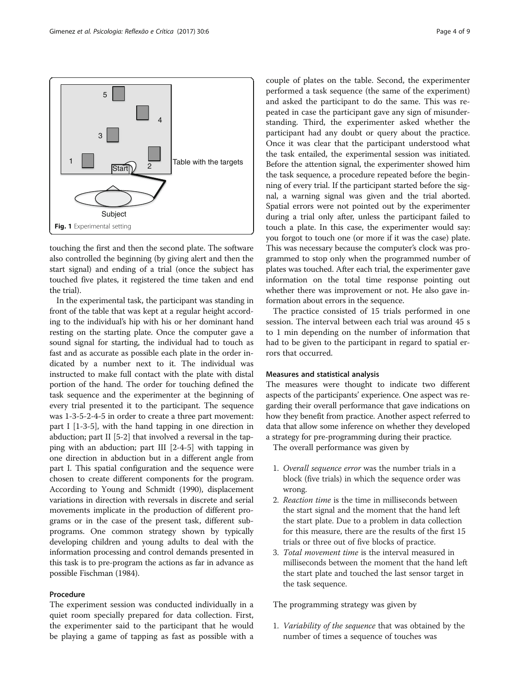<span id="page-3-0"></span>

touching the first and then the second plate. The software also controlled the beginning (by giving alert and then the start signal) and ending of a trial (once the subject has touched five plates, it registered the time taken and end the trial).

In the experimental task, the participant was standing in front of the table that was kept at a regular height according to the individual's hip with his or her dominant hand resting on the starting plate. Once the computer gave a sound signal for starting, the individual had to touch as fast and as accurate as possible each plate in the order indicated by a number next to it. The individual was instructed to make full contact with the plate with distal portion of the hand. The order for touching defined the task sequence and the experimenter at the beginning of every trial presented it to the participant. The sequence was 1-3-5-2-4-5 in order to create a three part movement: part I [1-3-5], with the hand tapping in one direction in abduction; part II [5-2] that involved a reversal in the tapping with an abduction; part III [2-4-5] with tapping in one direction in abduction but in a different angle from part I. This spatial configuration and the sequence were chosen to create different components for the program. According to Young and Schmidt ([1990\)](#page-8-0), displacement variations in direction with reversals in discrete and serial movements implicate in the production of different programs or in the case of the present task, different subprograms. One common strategy shown by typically developing children and young adults to deal with the information processing and control demands presented in this task is to pre-program the actions as far in advance as possible Fischman [\(1984\)](#page-7-0).

# Procedure

The experiment session was conducted individually in a quiet room specially prepared for data collection. First, the experimenter said to the participant that he would be playing a game of tapping as fast as possible with a

couple of plates on the table. Second, the experimenter performed a task sequence (the same of the experiment) and asked the participant to do the same. This was repeated in case the participant gave any sign of misunderstanding. Third, the experimenter asked whether the participant had any doubt or query about the practice. Once it was clear that the participant understood what the task entailed, the experimental session was initiated. Before the attention signal, the experimenter showed him the task sequence, a procedure repeated before the beginning of every trial. If the participant started before the signal, a warning signal was given and the trial aborted. Spatial errors were not pointed out by the experimenter during a trial only after, unless the participant failed to touch a plate. In this case, the experimenter would say: you forgot to touch one (or more if it was the case) plate. This was necessary because the computer's clock was programmed to stop only when the programmed number of plates was touched. After each trial, the experimenter gave information on the total time response pointing out whether there was improvement or not. He also gave information about errors in the sequence.

The practice consisted of 15 trials performed in one session. The interval between each trial was around 45 s to 1 min depending on the number of information that had to be given to the participant in regard to spatial errors that occurred.

#### Measures and statistical analysis

The measures were thought to indicate two different aspects of the participants' experience. One aspect was regarding their overall performance that gave indications on how they benefit from practice. Another aspect referred to data that allow some inference on whether they developed a strategy for pre-programming during their practice.

The overall performance was given by

- 1. Overall sequence error was the number trials in a block (five trials) in which the sequence order was wrong.
- 2. Reaction time is the time in milliseconds between the start signal and the moment that the hand left the start plate. Due to a problem in data collection for this measure, there are the results of the first 15 trials or three out of five blocks of practice.
- 3. Total movement time is the interval measured in milliseconds between the moment that the hand left the start plate and touched the last sensor target in the task sequence.

The programming strategy was given by

1. Variability of the sequence that was obtained by the number of times a sequence of touches was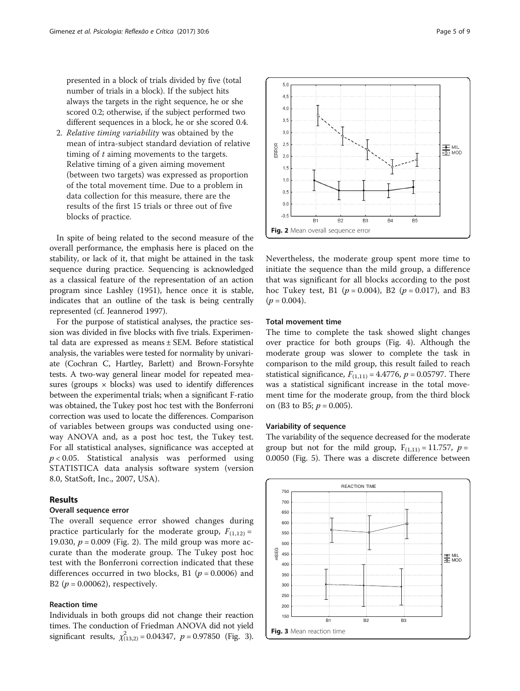presented in a block of trials divided by five (total number of trials in a block). If the subject hits always the targets in the right sequence, he or she scored 0.2; otherwise, if the subject performed two different sequences in a block, he or she scored 0.4.

2. Relative timing variability was obtained by the mean of intra-subject standard deviation of relative timing of t aiming movements to the targets. Relative timing of a given aiming movement (between two targets) was expressed as proportion of the total movement time. Due to a problem in data collection for this measure, there are the results of the first 15 trials or three out of five blocks of practice.

In spite of being related to the second measure of the overall performance, the emphasis here is placed on the stability, or lack of it, that might be attained in the task sequence during practice. Sequencing is acknowledged as a classical feature of the representation of an action program since Lashley ([1951](#page-7-0)), hence once it is stable, indicates that an outline of the task is being centrally represented (cf. Jeannerod [1997](#page-7-0)).

For the purpose of statistical analyses, the practice session was divided in five blocks with five trials. Experimental data are expressed as means ± SEM. Before statistical analysis, the variables were tested for normality by univariate (Cochran C, Hartley, Barlett) and Brown-Forsyhte tests. A two-way general linear model for repeated measures (groups  $\times$  blocks) was used to identify differences between the experimental trials; when a significant F-ratio was obtained, the Tukey post hoc test with the Bonferroni correction was used to locate the differences. Comparison of variables between groups was conducted using oneway ANOVA and, as a post hoc test, the Tukey test. For all statistical analyses, significance was accepted at  $p < 0.05$ . Statistical analysis was performed using STATISTICA data analysis software system (version 8.0, StatSoft, Inc., 2007, USA).

## Results

#### Overall sequence error

The overall sequence error showed changes during practice particularly for the moderate group,  $F_{(1,12)} =$ 19.030,  $p = 0.009$  (Fig. 2). The mild group was more accurate than the moderate group. The Tukey post hoc test with the Bonferroni correction indicated that these differences occurred in two blocks, B1 ( $p = 0.0006$ ) and B2 ( $p = 0.00062$ ), respectively.

#### Reaction time

Individuals in both groups did not change their reaction times. The conduction of Friedman ANOVA did not yield significant results,  $\chi^2_{(13,2)} = 0.04347$ ,  $p = 0.97850$  (Fig. 3).

Nevertheless, the moderate group spent more time to initiate the sequence than the mild group, a difference that was significant for all blocks according to the post hoc Tukey test, B1 ( $p = 0.004$ ), B2 ( $p = 0.017$ ), and B3  $(p = 0.004)$ .

#### Total movement time

The time to complete the task showed slight changes over practice for both groups (Fig. [4](#page-5-0)). Although the moderate group was slower to complete the task in comparison to the mild group, this result failed to reach statistical significance,  $F_{(1,11)} = 4.4776$ ,  $p = 0.05797$ . There was a statistical significant increase in the total movement time for the moderate group, from the third block on (B3 to B5;  $p = 0.005$ ).

#### Variability of sequence

The variability of the sequence decreased for the moderate group but not for the mild group,  $F_{(1,11)} = 11.757$ ,  $p =$ 0.0050 (Fig. [5](#page-5-0)). There was a discrete difference between



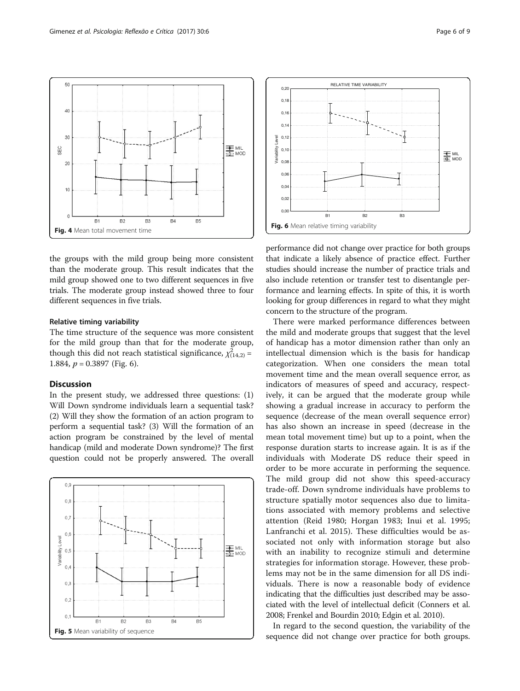<span id="page-5-0"></span>

the groups with the mild group being more consistent than the moderate group. This result indicates that the mild group showed one to two different sequences in five trials. The moderate group instead showed three to four different sequences in five trials.

## Relative timing variability

The time structure of the sequence was more consistent for the mild group than that for the moderate group, though this did not reach statistical significance,  $\chi^2_{(14,2)}$  = 1.884,  $p = 0.3897$  (Fig. 6).

#### **Discussion**

In the present study, we addressed three questions: (1) Will Down syndrome individuals learn a sequential task? (2) Will they show the formation of an action program to perform a sequential task? (3) Will the formation of an action program be constrained by the level of mental handicap (mild and moderate Down syndrome)? The first question could not be properly answered. The overall





performance did not change over practice for both groups that indicate a likely absence of practice effect. Further studies should increase the number of practice trials and also include retention or transfer test to disentangle performance and learning effects. In spite of this, it is worth looking for group differences in regard to what they might concern to the structure of the program.

There were marked performance differences between the mild and moderate groups that suggest that the level of handicap has a motor dimension rather than only an intellectual dimension which is the basis for handicap categorization. When one considers the mean total movement time and the mean overall sequence error, as indicators of measures of speed and accuracy, respectively, it can be argued that the moderate group while showing a gradual increase in accuracy to perform the sequence (decrease of the mean overall sequence error) has also shown an increase in speed (decrease in the mean total movement time) but up to a point, when the response duration starts to increase again. It is as if the individuals with Moderate DS reduce their speed in order to be more accurate in performing the sequence. The mild group did not show this speed-accuracy trade-off. Down syndrome individuals have problems to structure spatially motor sequences also due to limitations associated with memory problems and selective attention (Reid [1980;](#page-8-0) Horgan [1983;](#page-7-0) Inui et al. [1995](#page-7-0); Lanfranchi et al. [2015](#page-7-0)). These difficulties would be associated not only with information storage but also with an inability to recognize stimuli and determine strategies for information storage. However, these problems may not be in the same dimension for all DS individuals. There is now a reasonable body of evidence indicating that the difficulties just described may be associated with the level of intellectual deficit (Conners et al. [2008;](#page-7-0) Frenkel and Bourdin [2010](#page-7-0); Edgin et al. [2010](#page-7-0)).

In regard to the second question, the variability of the sequence did not change over practice for both groups.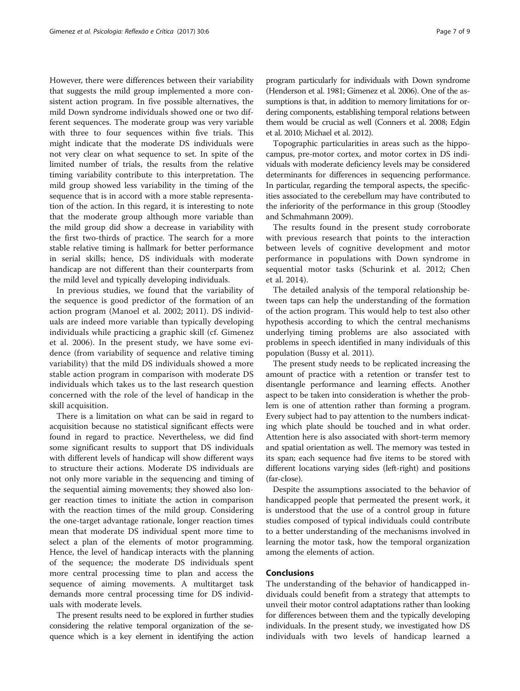However, there were differences between their variability that suggests the mild group implemented a more consistent action program. In five possible alternatives, the mild Down syndrome individuals showed one or two different sequences. The moderate group was very variable with three to four sequences within five trials. This might indicate that the moderate DS individuals were not very clear on what sequence to set. In spite of the limited number of trials, the results from the relative timing variability contribute to this interpretation. The mild group showed less variability in the timing of the sequence that is in accord with a more stable representation of the action. In this regard, it is interesting to note that the moderate group although more variable than the mild group did show a decrease in variability with the first two-thirds of practice. The search for a more stable relative timing is hallmark for better performance in serial skills; hence, DS individuals with moderate handicap are not different than their counterparts from the mild level and typically developing individuals.

In previous studies, we found that the variability of the sequence is good predictor of the formation of an action program (Manoel et al. [2002; 2011](#page-8-0)). DS individuals are indeed more variable than typically developing individuals while practicing a graphic skill (cf. Gimenez et al. [2006](#page-7-0)). In the present study, we have some evidence (from variability of sequence and relative timing variability) that the mild DS individuals showed a more stable action program in comparison with moderate DS individuals which takes us to the last research question concerned with the role of the level of handicap in the skill acquisition.

There is a limitation on what can be said in regard to acquisition because no statistical significant effects were found in regard to practice. Nevertheless, we did find some significant results to support that DS individuals with different levels of handicap will show different ways to structure their actions. Moderate DS individuals are not only more variable in the sequencing and timing of the sequential aiming movements; they showed also longer reaction times to initiate the action in comparison with the reaction times of the mild group. Considering the one-target advantage rationale, longer reaction times mean that moderate DS individual spent more time to select a plan of the elements of motor programming. Hence, the level of handicap interacts with the planning of the sequence; the moderate DS individuals spent more central processing time to plan and access the sequence of aiming movements. A multitarget task demands more central processing time for DS individuals with moderate levels.

The present results need to be explored in further studies considering the relative temporal organization of the sequence which is a key element in identifying the action program particularly for individuals with Down syndrome (Henderson et al. [1981;](#page-7-0) Gimenez et al. [2006\)](#page-7-0). One of the assumptions is that, in addition to memory limitations for ordering components, establishing temporal relations between them would be crucial as well (Conners et al. [2008](#page-7-0); Edgin et al. [2010](#page-7-0); Michael et al. [2012](#page-8-0)).

Topographic particularities in areas such as the hippocampus, pre-motor cortex, and motor cortex in DS individuals with moderate deficiency levels may be considered determinants for differences in sequencing performance. In particular, regarding the temporal aspects, the specificities associated to the cerebellum may have contributed to the inferiority of the performance in this group (Stoodley and Schmahmann [2009](#page-8-0)).

The results found in the present study corroborate with previous research that points to the interaction between levels of cognitive development and motor performance in populations with Down syndrome in sequential motor tasks (Schurink et al. [2012](#page-8-0); Chen et al. [2014\)](#page-7-0).

The detailed analysis of the temporal relationship between taps can help the understanding of the formation of the action program. This would help to test also other hypothesis according to which the central mechanisms underlying timing problems are also associated with problems in speech identified in many individuals of this population (Bussy et al. [2011](#page-7-0)).

The present study needs to be replicated increasing the amount of practice with a retention or transfer test to disentangle performance and learning effects. Another aspect to be taken into consideration is whether the problem is one of attention rather than forming a program. Every subject had to pay attention to the numbers indicating which plate should be touched and in what order. Attention here is also associated with short-term memory and spatial orientation as well. The memory was tested in its span; each sequence had five items to be stored with different locations varying sides (left-right) and positions (far-close).

Despite the assumptions associated to the behavior of handicapped people that permeated the present work, it is understood that the use of a control group in future studies composed of typical individuals could contribute to a better understanding of the mechanisms involved in learning the motor task, how the temporal organization among the elements of action.

# Conclusions

The understanding of the behavior of handicapped individuals could benefit from a strategy that attempts to unveil their motor control adaptations rather than looking for differences between them and the typically developing individuals. In the present study, we investigated how DS individuals with two levels of handicap learned a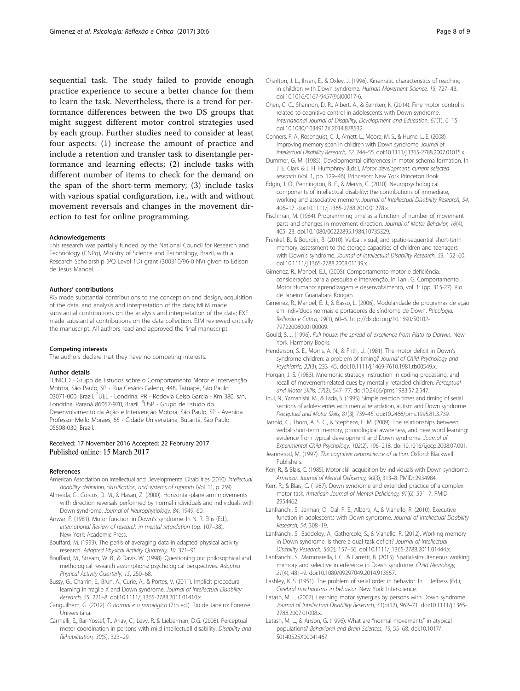<span id="page-7-0"></span>sequential task. The study failed to provide enough practice experience to secure a better chance for them to learn the task. Nevertheless, there is a trend for performance differences between the two DS groups that might suggest different motor control strategies used by each group. Further studies need to consider at least four aspects: (1) increase the amount of practice and include a retention and transfer task to disentangle performance and learning effects; (2) include tasks with different number of items to check for the demand on the span of the short-term memory; (3) include tasks with various spatial configuration, i.e., with and without movement reversals and changes in the movement direction to test for online programming.

#### Acknowledgements

This research was partially funded by the National Council for Research and Technology (CNPq), Ministry of Science and Technology, Brazil, with a Research Scholarship (PQ Level 1D) grant (300310/96-0 NV) given to Edison de Jesus Manoel.

#### Authors' contributions

RG made substantial contributions to the conception and design, acquisition of the data, and analysis and interpretation of the data; MLM made substantial contributions on the analysis and interpretation of the data; EXF made substantial contributions on the data collection. EJM reviewed critically the manuscript. All authors read and approved the final manuscript.

#### Competing interests

The authors declare that they have no competing interests.

#### Author details

<sup>1</sup>UNICID - Grupo de Estudos sobre o Comportamento Motor e Intervenção Motora, São Paulo, SP - Rua Cesário Galeno, 448, Tatuapé, São Paulo 03071-000, Brazil. <sup>2</sup>UEL - Londrina, PR - Rodovia Celso Garcia - Km 380, s/n, Londrina, Paraná 86057-970, Brazil. <sup>3</sup>USP - Grupo de Estudo do Desenvolvimento da Ação e Intervenção Motora, São Paulo, SP - Avenida Professor Mello Moraes, 65 - Cidade Universitária, Butantã, São Paulo 05508-030, Brazil.

### Received: 17 November 2016 Accepted: 22 February 2017 Published online: 15 March 2017

#### References

- American Association on Intellectual and Developmental Disabilities (2010). Intellectual disability: definition, classification, and systems of supports (Vol. 11, p. 259).
- Almeida, G., Corcos, D. M., & Hasan, Z. (2000). Horizontal-plane arm movements with direction reversals performed by normal individuals and individuals with Down syndrome. Journal of Neurophysiology, 84, 1949–60.
- Anwar, F. (1981). Motor function in Down's syndrome. In N. R. Ellis (Ed.), International Review of research in mental retardation (pp. 107–38). New York: Academic Press.
- Bouffard, M. (1993). The perils of averaging data in adapted physical activity research. Adapted Physical Activity Quarterly, 10, 371–91.
- Bouffard, M., Stream, W. B., & Davis, W. (1998). Questioning our philosophical and methological research assumptions: psychological perspectives. Adapted Physical Activity Quarterly, 15, 250–68.
- Bussy, G., Charrin, E., Brun, A., Curie, A., & Portes, V. (2011). Implicit procedural learning in fragile X and Down syndrome. Journal of Intellectual Disability Research, 55, 221–8. doi:[10.1111/j.1365-2788.2011.01410.x](http://dx.doi.org/10.1111/j.1365-2788.2011.01410.x).
- Canguilhem, G. (2012). O normal e o patológico (7th ed.). Rio de Janeiro: Forense Universitária.
- Carmelli, E., Bar-Yossef, T., Ariav, C., Levy, R. & Lieberman, D.G. (2008). Perceptual motor coordination in persons with mild intellectuall disability. Disability and Rehabilitation, 30(5), 323–29.
- Charlton, J. L., Ihsen, E., & Oxley, J. (1996). Kinematic characteristics of reaching in children with Down syndrome. Human Movement Science, 15, 727–43. doi[:10.1016/0167-9457\(96\)00017-6.](http://dx.doi.org/10.1016/0167-9457(96)00017-6)
- Chen, C. C., Shannon, D. R., Albert, A., & Semken, K. (2014). Fine motor control is related to cognitive control in adolescents with Down syndrome. International Journal of Disability, Development and Education, 61(1), 6–15. doi[:10.1080/1034912X.2014.878532](http://dx.doi.org/10.1080/1034912X.2014.878532).

Conners, F. A., Rosenquist, C. J., Arnett, L., Moore, M. S., & Hume, L. E. (2008). Improving memory span in children with Down syndrome. Journal of Intellectual Disability Research, 52, 244–55. doi[:10.1111/j.1365-2788.2007.01015.x.](http://dx.doi.org/10.1111/j.1365-2788.2007.01015.x)

- Dummer, G. M. (1985). Developmental differences in motor schema formation. In J. E. Clark & J. H. Humphrey (Eds.), Motor development: current selected research (Vol. 1, pp. 129–46). Princeton: New York Princeton Book.
- Edgin, J. O., Pennington, B. F., & Mervis, C. (2010). Neuropsychological components of intellectual disability: the contributions of immediate, working and associative memory. Journal of Intellectual Disability Research, 54, 406–17. doi:[10.1111/j.1365-2788.2010.01278.x](http://dx.doi.org/10.1111/j.1365-2788.2010.01278.x).
- Fischman, M. (1984). Programming time as a function of number of movement parts and changes in movement direction. Journal of Motor Behavior, 16(4), 405–23. doi:[10.1080/00222895.1984.10735329.](http://dx.doi.org/10.1080/00222895.1984.10735329)
- Frenkel, B., & Bourdin, B. (2010). Verbal, visual, and spatio-sequential short-term memory: assessment to the storage capacities of children and teenagers with Down's syndrome. Journal of Intellectual Disability Research, 53, 152–60. doi[:10.1111/j.1365-2788.2008.01139.x](http://dx.doi.org/10.1111/j.1365-2788.2008.01139.x).
- Gimenez, R., Manoel, E.J., (2005). Comportamento motor e deficiência: considerações para a pesquisa e intervenção. In Tani, G. Comportamento Motor Humano: aprendizagem e desenvolvimento, vol. 1: (pp. 315-27). Rio de Janeiro: Guanabara Koogan.
- Gimenez, R., Manoel, E. J., & Basso, L. (2006). Modularidade de programas de ação em indivíduos normais e portadores de síndrome de Down. Psicologia: Reflexão e Crítica, 19(1), 60–5. http://dx.doi.org/10.1590/S0102- 79722006000100009.
- Gould, S. J. (1996). Full house: the spread of excellence from Plato to Darwin. New York: Harmony Books.
- Henderson, S. E., Morris, A. N., & Frith, U. (1981). The motor deficit in Down's syndrome children: a problem of timing? Journal of Child Psychology and Psychiatric, 22(3), 233–45. doi:[10.1111/j.1469-7610.1981.tb00549.x](http://dx.doi.org/10.1111/j.1469-7610.1981.tb00549.x).
- Horgan, J. S. (1983). Mnemonic strategy instruction in coding processing, and recall of movement-related cues by mentally retarded children. Perceptual and Motor Skills, 57(2), 547–77. doi:[10.2466/pms.1983.57.2.547.](http://dx.doi.org/10.2466/pms.1983.57.2.547)
- Inui, N., Yamanishi, M., & Tada, S. (1995). Simple reaction times and timing of serial sections of adolescentes with mental retardation, autism and Down syndrome. Perceptual and Motor Skills, 81(3), 739–45. doi[:10.2466/pms.1995.81.3.739.](http://dx.doi.org/10.2466/pms.1995.81.3.739)
- Jarrold, C., Thorn, A. S. C., & Stephens, E. M. (2009). The relationships between verbal short-term memory, phonological awareness, and new word learning: evidence from typical development and Down syndrome. Journal of Experimental Child Psychology, 102(2), 196–218. doi[:10.1016/j.jecp.2008.07.001](http://dx.doi.org/10.1016/j.jecp.2008.07.001).
- Jeannerod, M. (1997). The cognitive neuroscience of action. Oxford: Blackwell Publishers.
- Kerr, R., & Blais, C. (1985). Motor skill acquisition by individuals with Down syndrome. American Journal of Mental Deficiency, 90(3), 313–8. PMID: 2934984.
- Kerr, R., & Blais, C. (1987). Down syndrome and extended practice of a complex motor task. American Journal of Mental Deficiency, 91(6), 591–7. PMID: 2954462
- Lanfranchi, S., Jerman, O., Dal, P. E., Alberti, A., & Vianello, R. (2010). Executive function in adolescents with Down syndrome. Journal of Intellectual Disability Research, 54, 308–19.
- Lanfranchi, S., Baddeley, A., Gathercole, S., & Vianello, R. (2012). Working memory in Down syndrome: is there a dual task deficit? Journal of Intellectual Disability Research, 56(2), 157–66. doi:[10.1111/j.1365-2788.2011.01444.x](http://dx.doi.org/10.1111/j.1365-2788.2011.01444.x).
- Lanfranchi, S., Mammarella, I. C., & Carretti, B. (2015). Spatial-simultaneous working memory and selective interference in Down syndrome. Child Neurology, 21(4), 481–9. doi:[10.1080/09297049.2014.913557](http://dx.doi.org/10.1080/09297049.2014.913557).
- Lashley, K. S. (1951). The problem of serial order in behavior. In L. Jeffress (Ed.), Cerebral mechanisms in behavior. New York: Interscience.
- Latash, M. L. (2007). Learning motor synergies by persons with Down syndrome. Journal of Intellectual Disability Research, 51(pt12), 962–71. doi:[10.1111/j.1365-](http://dx.doi.org/10.1111/j.1365-2788.2007.01008.x) [2788.2007.01008.x.](http://dx.doi.org/10.1111/j.1365-2788.2007.01008.x)
- Latash, M. L., & Anson, G. (1996). What are "normal movements" in atypical populations? Behavioral and Brain Sciences, 19, 55–68. doi[:10.1017/](http://dx.doi.org/10.1017/S0140525X00041467) [S0140525X00041467](http://dx.doi.org/10.1017/S0140525X00041467).